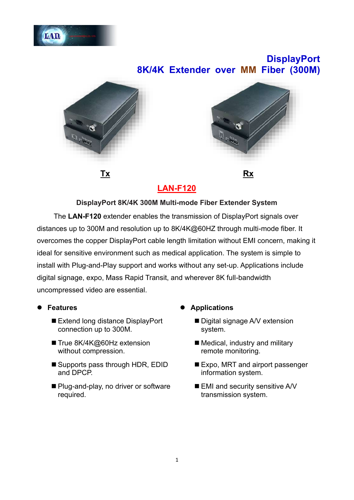

# **DisplayPort 8K/4K Extender over MM Fiber (300M)**



**LAN-F120**

#### **DisplayPort 8K/4K 300M Multi-mode Fiber Extender System**

The **LAN-F120** extender enables the transmission of DisplayPort signals over distances up to 300M and resolution up to 8K/4K@60HZ through multi-mode fiber. It overcomes the copper DisplayPort cable length limitation without EMI concern, making it ideal for sensitive environment such as medical application. The system is simple to install with Plug-and-Play support and works without any set-up. Applications include digital signage, expo, Mass Rapid Transit, and wherever 8K full-bandwidth uncompressed video are essential.

- ⚫ **Features**
	- Extend long distance DisplayPort connection up to 300M.
	- True 8K/4K@60Hz extension without compression.
	- Supports pass through HDR, EDID and DPCP.
	- Plug-and-play, no driver or software required.
- ⚫ **Applications**
	- Digital signage A/V extension system.
	- Medical, industry and military remote monitoring.
	- Expo, MRT and airport passenger information system.
	- EMI and security sensitive A/V transmission system.